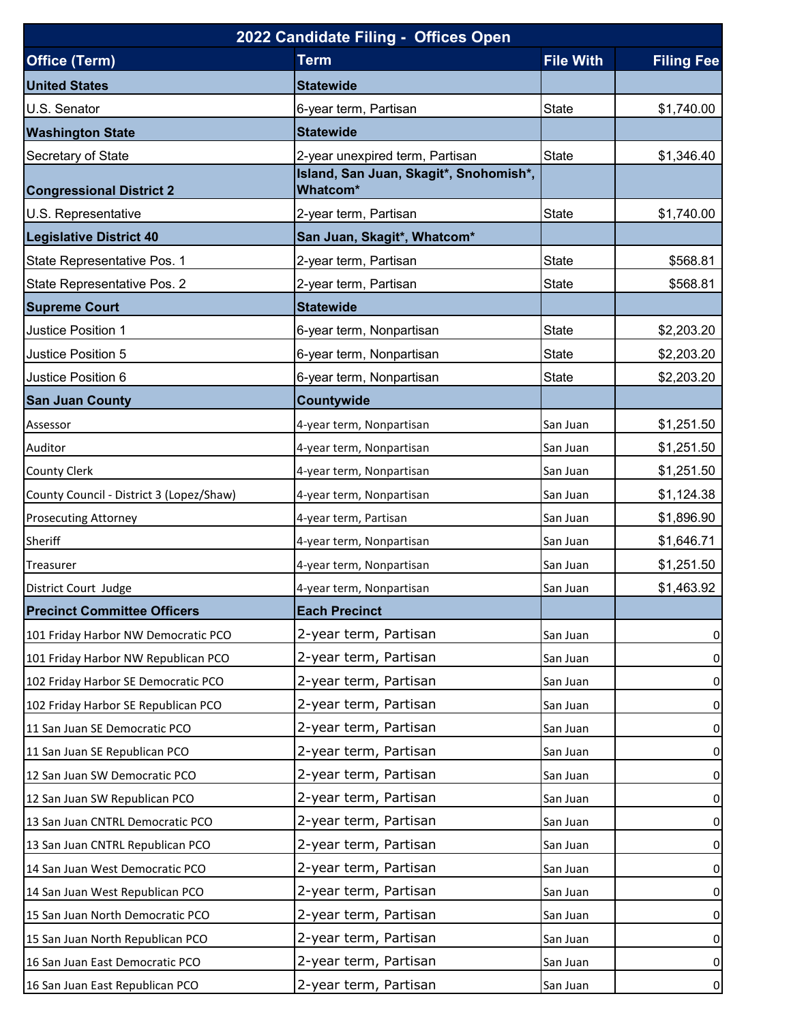| 2022 Candidate Filing - Offices Open     |                                                                           |                  |                   |  |  |
|------------------------------------------|---------------------------------------------------------------------------|------------------|-------------------|--|--|
| <b>Office (Term)</b>                     | <b>Term</b>                                                               | <b>File With</b> | <b>Filing Fee</b> |  |  |
| <b>United States</b>                     | <b>Statewide</b>                                                          |                  |                   |  |  |
| U.S. Senator                             | 6-year term, Partisan                                                     | <b>State</b>     | \$1,740.00        |  |  |
| <b>Washington State</b>                  | <b>Statewide</b>                                                          |                  |                   |  |  |
| Secretary of State                       | 2-year unexpired term, Partisan<br>Island, San Juan, Skagit*, Snohomish*, | <b>State</b>     | \$1,346.40        |  |  |
| <b>Congressional District 2</b>          | Whatcom*                                                                  |                  |                   |  |  |
| U.S. Representative                      | 2-year term, Partisan                                                     | <b>State</b>     | \$1,740.00        |  |  |
| <b>Legislative District 40</b>           | San Juan, Skagit*, Whatcom*                                               |                  |                   |  |  |
| State Representative Pos. 1              | 2-year term, Partisan                                                     | State            | \$568.81          |  |  |
| State Representative Pos. 2              | 2-year term, Partisan                                                     | <b>State</b>     | \$568.81          |  |  |
| <b>Supreme Court</b>                     | <b>Statewide</b>                                                          |                  |                   |  |  |
| Justice Position 1                       | 6-year term, Nonpartisan                                                  | <b>State</b>     | \$2,203.20        |  |  |
| Justice Position 5                       | 6-year term, Nonpartisan                                                  | <b>State</b>     | \$2,203.20        |  |  |
| Justice Position 6                       | 6-year term, Nonpartisan                                                  | <b>State</b>     | \$2,203.20        |  |  |
| <b>San Juan County</b>                   | Countywide                                                                |                  |                   |  |  |
| Assessor                                 | 4-year term, Nonpartisan                                                  | San Juan         | \$1,251.50        |  |  |
| Auditor                                  | 4-year term, Nonpartisan                                                  | San Juan         | \$1,251.50        |  |  |
| County Clerk                             | 4-year term, Nonpartisan                                                  | San Juan         | \$1,251.50        |  |  |
| County Council - District 3 (Lopez/Shaw) | 4-year term, Nonpartisan                                                  | San Juan         | \$1,124.38        |  |  |
| <b>Prosecuting Attorney</b>              | 4-year term, Partisan                                                     | San Juan         | \$1,896.90        |  |  |
| Sheriff                                  | 4-year term, Nonpartisan                                                  | San Juan         | \$1,646.71        |  |  |
| Treasurer                                | 4-year term, Nonpartisan                                                  | San Juan         | \$1,251.50        |  |  |
| District Court Judge                     | 4-year term, Nonpartisan                                                  | San Juan         | \$1,463.92        |  |  |
| <b>Precinct Committee Officers</b>       | <b>Each Precinct</b>                                                      |                  |                   |  |  |
| 101 Friday Harbor NW Democratic PCO      | 2-year term, Partisan                                                     | San Juan         | $\overline{0}$    |  |  |
| 101 Friday Harbor NW Republican PCO      | 2-year term, Partisan                                                     | San Juan         | $\overline{0}$    |  |  |
| 102 Friday Harbor SE Democratic PCO      | 2-year term, Partisan                                                     | San Juan         | $\overline{0}$    |  |  |
| 102 Friday Harbor SE Republican PCO      | 2-year term, Partisan                                                     | San Juan         | $\overline{0}$    |  |  |
| 11 San Juan SE Democratic PCO            | 2-year term, Partisan                                                     | San Juan         | $\mathbf{0}$      |  |  |
| 11 San Juan SE Republican PCO            | 2-year term, Partisan                                                     | San Juan         | $\overline{0}$    |  |  |
| 12 San Juan SW Democratic PCO            | 2-year term, Partisan                                                     | San Juan         | $\overline{0}$    |  |  |
| 12 San Juan SW Republican PCO            | 2-year term, Partisan                                                     | San Juan         | $\overline{0}$    |  |  |
| 13 San Juan CNTRL Democratic PCO         | 2-year term, Partisan                                                     | San Juan         | $\overline{0}$    |  |  |
| 13 San Juan CNTRL Republican PCO         | 2-year term, Partisan                                                     | San Juan         | $\overline{0}$    |  |  |
| 14 San Juan West Democratic PCO          | 2-year term, Partisan                                                     | San Juan         | $\overline{0}$    |  |  |
| 14 San Juan West Republican PCO          | 2-year term, Partisan                                                     | San Juan         | $\overline{0}$    |  |  |
| 15 San Juan North Democratic PCO         | 2-year term, Partisan                                                     | San Juan         | $\overline{0}$    |  |  |
| 15 San Juan North Republican PCO         | 2-year term, Partisan                                                     | San Juan         | $\overline{0}$    |  |  |
| 16 San Juan East Democratic PCO          | 2-year term, Partisan                                                     | San Juan         | $\overline{0}$    |  |  |
| 16 San Juan East Republican PCO          | 2-year term, Partisan                                                     | San Juan         | $\overline{0}$    |  |  |